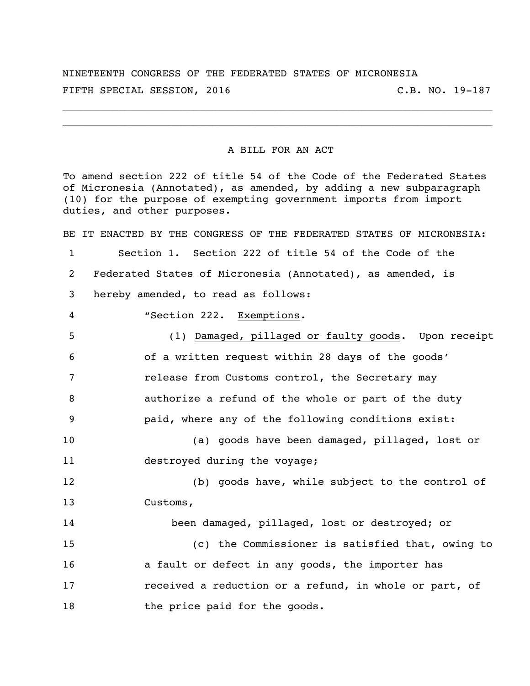NINETEENTH CONGRESS OF THE FEDERATED STATES OF MICRONESIA FIFTH SPECIAL SESSION, 2016 C.B. NO. 19-187

\_\_\_\_\_\_\_\_\_\_\_\_\_\_\_\_\_\_\_\_\_\_\_\_\_\_\_\_\_\_\_\_\_\_\_\_\_\_\_\_\_\_\_\_\_\_\_\_\_\_\_\_\_\_\_\_\_\_\_\_\_\_\_\_\_\_\_\_\_ \_\_\_\_\_\_\_\_\_\_\_\_\_\_\_\_\_\_\_\_\_\_\_\_\_\_\_\_\_\_\_\_\_\_\_\_\_\_\_\_\_\_\_\_\_\_\_\_\_\_\_\_\_\_\_\_\_\_\_\_\_\_\_\_\_\_\_\_\_

## A BILL FOR AN ACT

To amend section 222 of title 54 of the Code of the Federated States of Micronesia (Annotated), as amended, by adding a new subparagraph (10) for the purpose of exempting government imports from import duties, and other purposes.

BE IT ENACTED BY THE CONGRESS OF THE FEDERATED STATES OF MICRONESIA: Section 1. Section 222 of title 54 of the Code of the Federated States of Micronesia (Annotated), as amended, is hereby amended, to read as follows: "Section 222. Exemptions. (1) Damaged, pillaged or faulty goods. Upon receipt of a written request within 28 days of the goods' release from Customs control, the Secretary may authorize a refund of the whole or part of the duty paid, where any of the following conditions exist: (a) goods have been damaged, pillaged, lost or destroyed during the voyage; (b) goods have, while subject to the control of Customs, been damaged, pillaged, lost or destroyed; or (c) the Commissioner is satisfied that, owing to **a** fault or defect in any goods, the importer has received a reduction or a refund, in whole or part, of 18 the price paid for the goods.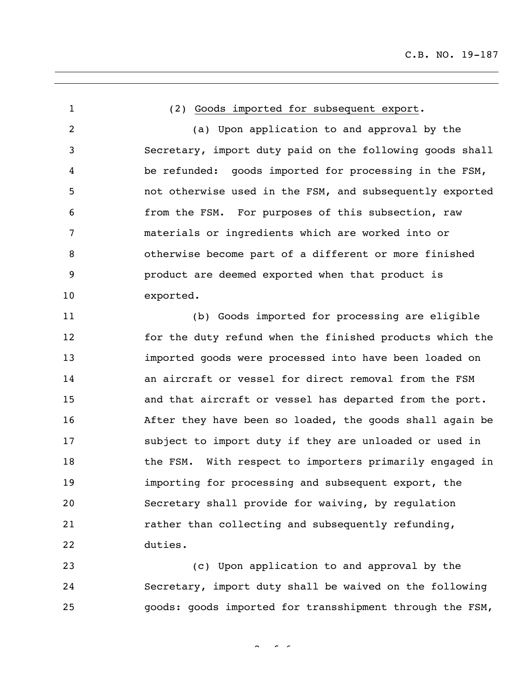(2) Goods imported for subsequent export. (a) Upon application to and approval by the Secretary, import duty paid on the following goods shall be refunded: goods imported for processing in the FSM, not otherwise used in the FSM, and subsequently exported from the FSM. For purposes of this subsection, raw materials or ingredients which are worked into or otherwise become part of a different or more finished product are deemed exported when that product is exported. (b) Goods imported for processing are eligible for the duty refund when the finished products which the imported goods were processed into have been loaded on an aircraft or vessel for direct removal from the FSM and that aircraft or vessel has departed from the port. After they have been so loaded, the goods shall again be subject to import duty if they are unloaded or used in 18 the FSM. With respect to importers primarily engaged in importing for processing and subsequent export, the Secretary shall provide for waiving, by regulation rather than collecting and subsequently refunding, duties. (c) Upon application to and approval by the

 Secretary, import duty shall be waived on the following goods: goods imported for transshipment through the FSM,

 $2 \times 2 = 6$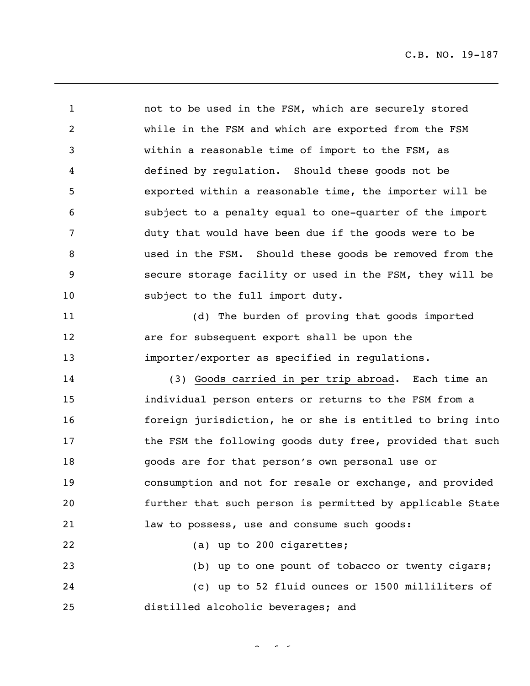not to be used in the FSM, which are securely stored while in the FSM and which are exported from the FSM within a reasonable time of import to the FSM, as defined by regulation. Should these goods not be exported within a reasonable time, the importer will be subject to a penalty equal to one-quarter of the import duty that would have been due if the goods were to be used in the FSM. Should these goods be removed from the secure storage facility or used in the FSM, they will be 10 subject to the full import duty. (d) The burden of proving that goods imported are for subsequent export shall be upon the importer/exporter as specified in regulations. (3) Goods carried in per trip abroad. Each time an individual person enters or returns to the FSM from a foreign jurisdiction, he or she is entitled to bring into **the FSM the following goods duty free, provided that such**  goods are for that person's own personal use or consumption and not for resale or exchange, and provided further that such person is permitted by applicable State law to possess, use and consume such goods: (a) up to 200 cigarettes; (b) up to one pount of tobacco or twenty cigars; (c) up to 52 fluid ounces or 1500 milliliters of distilled alcoholic beverages; and

 $\sim$   $\sim$   $\sim$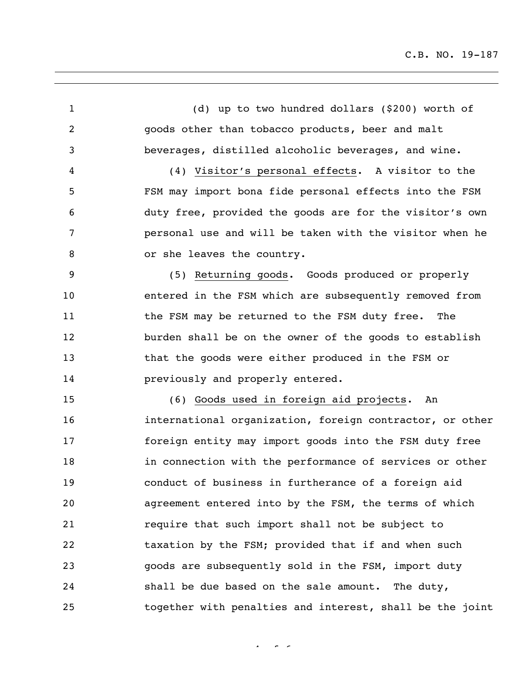(d) up to two hundred dollars (\$200) worth of goods other than tobacco products, beer and malt beverages, distilled alcoholic beverages, and wine. (4) Visitor's personal effects. A visitor to the FSM may import bona fide personal effects into the FSM duty free, provided the goods are for the visitor's own personal use and will be taken with the visitor when he 8 or she leaves the country. (5) Returning goods. Goods produced or properly entered in the FSM which are subsequently removed from 11 the FSM may be returned to the FSM duty free. The burden shall be on the owner of the goods to establish that the goods were either produced in the FSM or previously and properly entered. (6) Goods used in foreign aid projects. An international organization, foreign contractor, or other foreign entity may import goods into the FSM duty free in connection with the performance of services or other conduct of business in furtherance of a foreign aid agreement entered into by the FSM, the terms of which require that such import shall not be subject to taxation by the FSM; provided that if and when such goods are subsequently sold in the FSM, import duty shall be due based on the sale amount. The duty, together with penalties and interest, shall be the joint

 $4 - 6 - 6$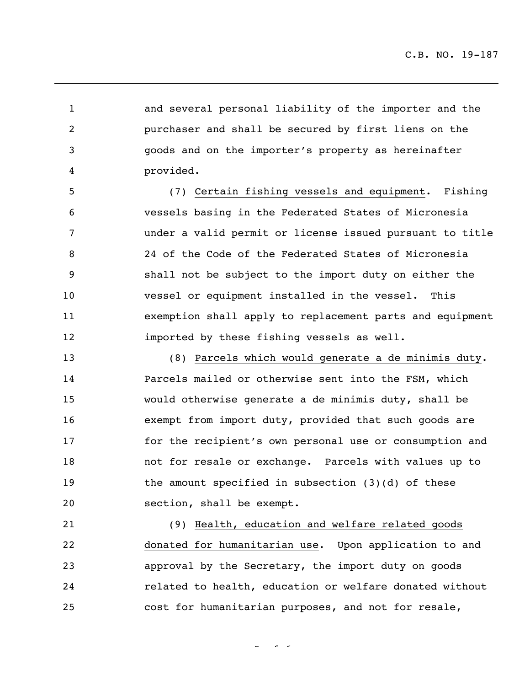and several personal liability of the importer and the purchaser and shall be secured by first liens on the goods and on the importer's property as hereinafter provided. (7) Certain fishing vessels and equipment. Fishing vessels basing in the Federated States of Micronesia under a valid permit or license issued pursuant to title 24 of the Code of the Federated States of Micronesia shall not be subject to the import duty on either the vessel or equipment installed in the vessel. This exemption shall apply to replacement parts and equipment imported by these fishing vessels as well. (8) Parcels which would generate a de minimis duty. Parcels mailed or otherwise sent into the FSM, which would otherwise generate a de minimis duty, shall be exempt from import duty, provided that such goods are for the recipient's own personal use or consumption and not for resale or exchange. Parcels with values up to the amount specified in subsection (3)(d) of these section, shall be exempt. (9) Health, education and welfare related goods donated for humanitarian use. Upon application to and approval by the Secretary, the import duty on goods related to health, education or welfare donated without cost for humanitarian purposes, and not for resale,

 $\sim$   $\sim$